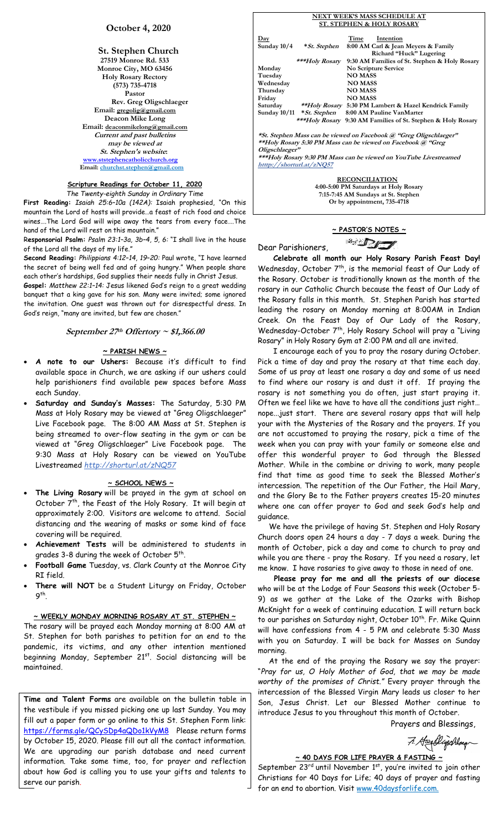# **October 4, 2020**

**St. Stephen Church 27519 Monroe Rd. 533 Monroe City, MO 63456 Holy Rosary Rectory (573) 735-4718 Pastor Rev. Greg Oligschlaeger Email: gregolig@gmail.com Deacon Mike Long Email: deaconmikelong@gmail.com Current and past bulletins may be viewed at St. Stephen's website: [www.ststephencatholicchurch.org](http://www.ststephencatholicchurch.org/) Email: [churchst.stephen@gmail.com](mailto:churchst.stephen@gmail.com)**

#### **Scripture Readings for October 11, 2020** *The Twenty-eighth Sunday in Ordinary Time*

**First Reading:** *Isaiah 25:6–10a (142A):* Isaiah prophesied, "On this mountain the Lord of hosts will provide…a feast of rich food and choice wines….The Lord God will wipe away the tears from every face….The hand of the Lord will rest on this mountain."

R**esponsorial Psalm:** *Psalm 23:1–3a, 3b–4, 5, 6:* "I shall live in the house of the Lord all the days of my life."

**Second Reading:** *Philippians 4:12–14, 19–20:* Paul wrote, "I have learned the secret of being well fed and of going hungry." When people share each other's hardships, God supplies their needs fully in Christ Jesus.

**Gospel:** *Matthew 22:1–14:* Jesus likened God's reign to a great wedding banquet that a king gave for his son. Many were invited; some ignored the invitation. One guest was thrown out for disrespectful dress. In God's reign, "many are invited, but few are chosen."

## **September 27th Offertory ~ \$1,366.00**

#### **~ PARISH NEWS ~**

- **A note to our Ushers:** Because it's difficult to find available space in Church, we are asking if our ushers could help parishioners find available pew spaces before Mass each Sunday.
- **Saturday and Sunday's Masses:** The Saturday, 5:30 PM Mass at Holy Rosary may be viewed at "Greg Oligschlaeger" Live Facebook page. The 8:00 AM Mass at St. Stephen is being streamed to over-flow seating in the gym or can be viewed at "Greg Oligschlaeger" Live Facebook page. The 9:30 Mass at Holy Rosary can be viewed on YouTube Livestreamed *http://shorturl.at/zNQ57*

#### **~ SCHOOL NEWS ~**

- **The Living Rosary** will be prayed in the gym at school on October 7<sup>th</sup>, the Feast of the Holy Rosary. It will begin at approximately 2:00. Visitors are welcome to attend. Social distancing and the wearing of masks or some kind of face covering will be required.
- **Achievement Tests** will be administered to students in grades 3-8 during the week of October  $5^{\mathsf{th}}$ .
- **Football Game** Tuesday, vs. Clark County at the Monroe City RI field.
- There will NOT be a Student Liturgy on Friday, October 9th.

#### **~ WEEKLY MONDAY MORNING ROSARY AT ST. STEPHEN ~**

The rosary will be prayed each Monday morning at 8:00 AM at St. Stephen for both parishes to petition for an end to the pandemic, its victims, and any other intention mentioned beginning Monday, September 21<sup>st</sup>. Social distancing will be maintained.

**Time and Talent Forms** are available on the bulletin table in the vestibule if you missed picking one up last Sunday. You may fill out a paper form or go online to this St. Stephen Form link: <https://forms.gle/QCySDp4aQDo1kVyM8>Please return forms by October 15, 2020. Please fill out all the contact information. We are upgrading our parish database and need current information. Take some time, too, for prayer and reflection about how God is calling you to use your gifts and talents to serve our parish.

|  | NEXT WEEK'S MASS SCHEDULE AT                                                                                                                                                                                                                           |                                      |                                                                        |  |
|--|--------------------------------------------------------------------------------------------------------------------------------------------------------------------------------------------------------------------------------------------------------|--------------------------------------|------------------------------------------------------------------------|--|
|  |                                                                                                                                                                                                                                                        | <b>ST. STEPHEN &amp; HOLY ROSARY</b> |                                                                        |  |
|  |                                                                                                                                                                                                                                                        |                                      |                                                                        |  |
|  | $\mathbf{Day}$                                                                                                                                                                                                                                         |                                      | Intention<br>Time                                                      |  |
|  | Sunday 10/4                                                                                                                                                                                                                                            | * St. Stephen                        | 8:00 AM Carl & Jean Meyers & Family                                    |  |
|  |                                                                                                                                                                                                                                                        |                                      | Richard "Huck" Lugering                                                |  |
|  |                                                                                                                                                                                                                                                        | ***Holy Rosary                       | 9:30 AM Families of St. Stephen & Holy Rosary                          |  |
|  | Monday                                                                                                                                                                                                                                                 |                                      | No Scripture Service                                                   |  |
|  | Tuesday                                                                                                                                                                                                                                                |                                      | <b>NO MASS</b>                                                         |  |
|  | Wednesday                                                                                                                                                                                                                                              |                                      | <b>NO MASS</b>                                                         |  |
|  | Thursday                                                                                                                                                                                                                                               |                                      | <b>NO MASS</b>                                                         |  |
|  | Friday                                                                                                                                                                                                                                                 |                                      | <b>NO MASS</b>                                                         |  |
|  |                                                                                                                                                                                                                                                        |                                      | Saturday ** <i>Holy Rosary</i> 5:30 PM Lambert & Hazel Kendrick Family |  |
|  |                                                                                                                                                                                                                                                        |                                      | Sunday 10/11 * St. Stephen 8:00 AM Pauline VanMarter                   |  |
|  |                                                                                                                                                                                                                                                        |                                      | ***Holy Rosary 9:30 AM Families of St. Stephen & Holy Rosary           |  |
|  |                                                                                                                                                                                                                                                        |                                      |                                                                        |  |
|  | *St. Stephen Mass can be viewed on Facebook @ "Greg Oligschlaeger"<br>**Holy Rosary 5:30 PM Mass can be viewed on Facebook @ "Greg<br>Oligschlaeger"<br>***Holy Rosary 9:30 PM Mass can be viewed on YouTube Livestreamed<br>htttp://shorturl.at/zNQ57 |                                      |                                                                        |  |
|  |                                                                                                                                                                                                                                                        |                                      |                                                                        |  |
|  |                                                                                                                                                                                                                                                        |                                      |                                                                        |  |
|  |                                                                                                                                                                                                                                                        |                                      |                                                                        |  |
|  |                                                                                                                                                                                                                                                        |                                      |                                                                        |  |
|  |                                                                                                                                                                                                                                                        |                                      |                                                                        |  |
|  | <b>RECONCILIATION</b>                                                                                                                                                                                                                                  |                                      |                                                                        |  |
|  |                                                                                                                                                                                                                                                        |                                      | $1.00.500 \text{ m}$                                                   |  |

**4:00-5:00 PM Saturdays at Holy Rosary 7:15-7:45 AM Sundays at St. Stephen Or by appointment, 735-4718**

# **~ PASTOR'S NOTES ~** <sup>2</sup> DI

Dear Parishioners,

 **Celebrate all month our Holy Rosary Parish Feast Day!**  Wednesday, October  $7<sup>th</sup>$ , is the memorial feast of Our Lady of the Rosary. October is traditionally known as the month of the rosary in our Catholic Church because the feast of Our Lady of the Rosary falls in this month. St. Stephen Parish has started leading the rosary on Monday morning at 8:00AM in Indian Creek. On the Feast Day of Our Lady of the Rosary, Wednesday-October 7<sup>th</sup>, Holy Rosary School will pray a "Living Rosary" in Holy Rosary Gym at 2:00 PM and all are invited.

 I encourage each of you to pray the rosary during October. Pick a time of day and pray the rosary at that time each day. Some of us pray at least one rosary a day and some of us need to find where our rosary is and dust it off. If praying the rosary is not something you do often, just start praying it. Often we feel like we have to have all the conditions just right… nope...just start. There are several rosary apps that will help your with the Mysteries of the Rosary and the prayers. If you are not accustomed to praying the rosary, pick a time of the week when you can pray with your family or someone else and offer this wonderful prayer to God through the Blessed Mother. While in the combine or driving to work, many people find that time as good time to seek the Blessed Mother's intercession. The repetition of the Our Father, the Hail Mary, and the Glory Be to the Father prayers creates 15-20 minutes where one can offer prayer to God and seek God's help and guidance.

 We have the privilege of having St. Stephen and Holy Rosary Church doors open 24 hours a day - 7 days a week. During the month of October, pick a day and come to church to pray and while you are there - pray the Rosary. If you need a rosary, let me know. I have rosaries to give away to those in need of one.

 **Please pray for me and all the priests of our diocese**  who will be at the Lodge of Four Seasons this week (October 5- 9) as we gather at the Lake of the Ozarks with Bishop McKnight for a week of continuing education. I will return back to our parishes on Saturday night, October 10<sup>th</sup>. Fr. Mike Quinn will have confessions from 4 - 5 PM and celebrate 5:30 Mass with you on Saturday. I will be back for Masses on Sunday morning.

 At the end of the praying the Rosary we say the prayer: "*Pray for us, O Holy Mother of God, that we may be made worthy of the promises of Christ."* Every prayer through the intercession of the Blessed Virgin Mary leads us closer to her Son, Jesus Christ. Let our Blessed Mother continue to introduce Jesus to you throughout this month of October.

Prayers and Blessings,

7. Heydlighthay

# **~ 40 DAYS FOR LIFE PRAYER & FASTING ~**

September 23rd until November 1st, you're invited to join other Christians for 40 Days for Life; 40 days of prayer and fasting for an end to abortion. Visit www.40daysforlife.com.